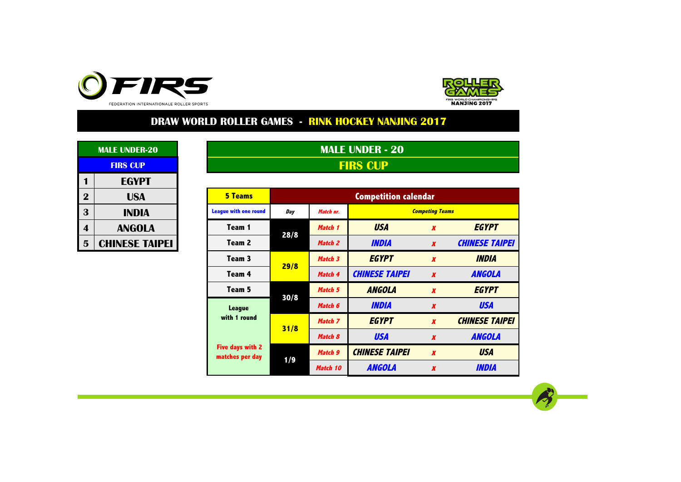



|             | <b>MALE UNDER-20</b>  |  |  |  |  |  |  |  |  |  |  |
|-------------|-----------------------|--|--|--|--|--|--|--|--|--|--|
|             | <b>FIRS CUP</b>       |  |  |  |  |  |  |  |  |  |  |
| 1           | <b>EGYPT</b>          |  |  |  |  |  |  |  |  |  |  |
| $\mathbf 2$ | USA                   |  |  |  |  |  |  |  |  |  |  |
| 3           | INDIA                 |  |  |  |  |  |  |  |  |  |  |
| 4           | <b>ANGOLA</b>         |  |  |  |  |  |  |  |  |  |  |
| 5           | <b>CHINESE TAIPEI</b> |  |  |  |  |  |  |  |  |  |  |

**MALE UNDER - 20 FIRS CUP**

| $\overline{2}$ | <b>USA</b>            | <b>5 Teams</b>                      |      |           | <b>Competition calendar</b> |                        |                       |
|----------------|-----------------------|-------------------------------------|------|-----------|-----------------------------|------------------------|-----------------------|
| 3              | <b>INDIA</b>          | <b>League with one round</b>        | Day  | Match nr. |                             | <b>Competing Teams</b> |                       |
| 4              | <b>ANGOLA</b>         | Team 1                              | 28/8 | Match 1   | <b>USA</b>                  | $\boldsymbol{x}$       | <b>EGYPT</b>          |
| 5              | <b>CHINESE TAIPEI</b> | Team 2                              |      | Match 2   | <b>INDIA</b>                | $\boldsymbol{x}$       | <b>CHINESE TAIPEI</b> |
|                |                       | Team 3                              | 29/8 | Match 3   | <b>EGYPT</b>                | $\boldsymbol{x}$       | <b>INDIA</b>          |
|                |                       | Team 4                              |      | Match 4   | <b>CHINESE TAIPEI</b>       | $\boldsymbol{x}$       | <b>ANGOLA</b>         |
|                |                       | Team 5                              | 30/8 | Match 5   | <b>ANGOLA</b>               | $\boldsymbol{x}$       | <b>EGYPT</b>          |
|                |                       | <b>League</b>                       |      | Match 6   | <b>INDIA</b>                | $\boldsymbol{x}$       | <b>USA</b>            |
|                |                       | with 1 round                        | 31/8 | Match 7   | <b>EGYPT</b>                | $\boldsymbol{x}$       | <b>CHINESE TAIPEI</b> |
|                |                       |                                     |      | Match 8   | <b>USA</b>                  | $\boldsymbol{X}$       | <b>ANGOLA</b>         |
|                |                       | Five days with 2<br>matches per day | 1/9  | Match 9   | <b>CHINESE TAIPEI</b>       | $\boldsymbol{x}$       | <b>USA</b>            |
|                |                       |                                     |      | Match 10  | <b>ANGOLA</b>               | $\boldsymbol{x}$       | <b>INDIA</b>          |

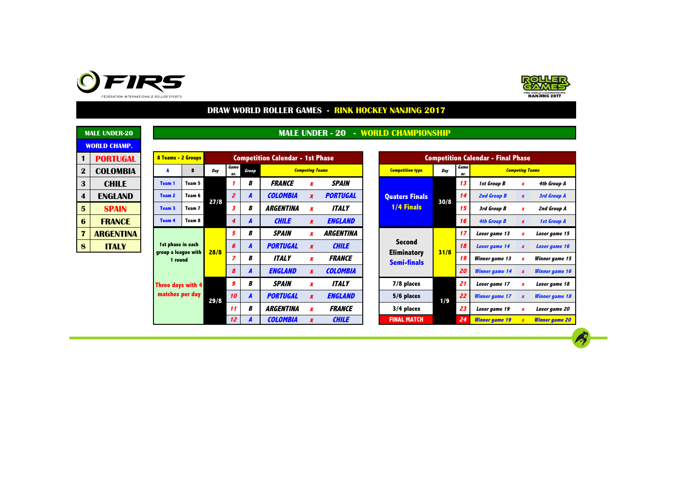



 $\rightarrow$ 

|                 | <b>MALE UNDER-20</b> |                 |                          |                                                               |      |                  |                     |                                           |                        |                  |                   | <b>MALE UNDER - 20 - WORLD CHAMPIONSHIP</b> |                       |                 |                       |                        |                       |               |  |    |               |
|-----------------|----------------------|-----------------|--------------------------|---------------------------------------------------------------|------|------------------|---------------------|-------------------------------------------|------------------------|------------------|-------------------|---------------------------------------------|-----------------------|-----------------|-----------------------|------------------------|-----------------------|---------------|--|----|---------------|
|                 | <b>WORLD CHAMP.</b>  |                 |                          |                                                               |      |                  |                     |                                           |                        |                  |                   |                                             |                       |                 |                       |                        |                       |               |  |    |               |
|                 | <b>PORTUGAL</b>      |                 |                          | 8 Teams - 2 Groups<br><b>Competition Calendar - 1st Phase</b> |      |                  |                     | <b>Competition Calendar - Final Phase</b> |                        |                  |                   |                                             |                       |                 |                       |                        |                       |               |  |    |               |
| $\mathbf 2$     | <b>COLOMBIA</b>      |                 |                          | В                                                             | Day  | Game<br>nr.      | <b>Group</b>        |                                           | <b>Competing Teams</b> |                  |                   | <b>Competition type</b>                     | Day                   | Game<br>nr.     |                       | <b>Competing Teams</b> |                       |               |  |    |               |
| $\mathbf{3}$    | <b>CHILE</b>         |                 | Team 1                   | Team 5                                                        |      |                  | В                   | <b>FRANCE</b>                             | x                      | <b>SPAIN</b>     |                   |                                             |                       | 13              | 1st Group B           |                        | 4th Group A           |               |  |    |               |
| 4               | <b>ENGLAND</b>       |                 | Team 2                   | Team 6<br>Team 7                                              |      | $\overline{z}$   | $\overline{A}$      | <b>COLOMBIA</b>                           | $\boldsymbol{x}$       | <b>PORTUGAL</b>  |                   | <b>Quaters Finals</b>                       |                       | 14              | 2nd Group B           | $\boldsymbol{x}$       | 3rd Group A           |               |  |    |               |
| $5\phantom{.}$  | <b>SPAIN</b>         |                 | Team <sub>3</sub>        |                                                               | 27/8 | 3                | В                   | <b>ARGENTINA</b>                          | $\boldsymbol{x}$       | <b>ITALY</b>     |                   | <b>1/4 Finals</b>                           | 30/8                  | 15              | 3rd Group B           | x                      | 2nd Group A           |               |  |    |               |
| $6\phantom{1}6$ | <b>FRANCE</b>        |                 | <b>Team 4</b>            | Team 8                                                        |      | 4                | A                   | <b>CHILE</b>                              | $\boldsymbol{x}$       | <b>ENGLAND</b>   |                   |                                             |                       | 16              | <b>4th Group B</b>    |                        | <b>1st Group A</b>    |               |  |    |               |
| 7               | <b>ARGENTINA</b>     |                 | 1st phase in each        |                                                               |      | 5                | В                   | <b>SPAIN</b>                              | x                      | <b>ARGENTINA</b> |                   |                                             |                       | -17             | Loser game 13         |                        | Loser game 15         |               |  |    |               |
| 8               | <b>ITALY</b>         |                 |                          |                                                               |      |                  | group a league with |                                           |                        |                  |                   | 6                                           | $\overline{A}$        | <b>PORTUGAL</b> | $\boldsymbol{x}$      | <b>CHILE</b>           |                       | <b>Second</b> |  | 18 | Loser game 14 |
|                 |                      |                 | 1 round                  |                                                               | 28/8 |                  | В                   | <b>ITALY</b>                              | X                      | <b>FRANCE</b>    |                   | <b>Eliminatory</b><br><b>Semi-finals</b>    | 31/8                  | 19              | Winner game 13        |                        | Winner game 1:        |               |  |    |               |
|                 |                      |                 |                          |                                                               |      | 8                | $\overline{A}$      | <b>ENGLAND</b>                            | $\boldsymbol{x}$       | <b>COLOMBIA</b>  |                   |                                             |                       | 20              | <b>Winner</b> game 14 |                        | Winner game 1         |               |  |    |               |
|                 |                      |                 | <b>Three days with 4</b> |                                                               |      | 9                | В                   | <b>SPAIN</b>                              | x                      | <b>ITALY</b>     |                   | 7/8 places                                  |                       | 21              | Loser game 17         |                        | Loser game 18         |               |  |    |               |
|                 |                      | matches per day |                          | 29/8                                                          | 10   | $\overline{A}$   | <b>PORTUGAL</b>     | $\boldsymbol{x}$                          | <b>ENGLAND</b>         |                  | 5/6 places<br>1/9 | 22                                          | <b>Winner game 17</b> |                 | <b>Winner game 18</b> |                        |                       |               |  |    |               |
|                 |                      |                 |                          | 11                                                            | В    | <b>ARGENTINA</b> | X                   | <b>FRANCE</b>                             |                        | 3/4 places       |                   | 23                                          | Loser game 19         |                 | Loser game 20         |                        |                       |               |  |    |               |
|                 |                      |                 |                          |                                                               |      | 12               | $\boldsymbol{A}$    | <b>COLOMBIA</b>                           |                        | <b>CHILE</b>     |                   | <b>FINAL MATCH</b>                          |                       | 24              | <b>Winner game 19</b> |                        | <b>Winner game 20</b> |               |  |    |               |

|            |       | <b>Competition Calendar - 1st Phase</b> |                         |     |             | <b>Competition Calendar - Final Phase</b> |                        |  |
|------------|-------|-----------------------------------------|-------------------------|-----|-------------|-------------------------------------------|------------------------|--|
| ame<br>nr. | Group | <b>Competing Teams</b>                  | <b>Competition type</b> | Dav | Game<br>nr. |                                           | <b>Competing Teams</b> |  |
|            |       | <i><b>FRANCE</b></i><br><b>SPAIN</b>    |                         |     |             | 1st Group B                               |                        |  |

| nr.                     | Group            |                  | <b>Competing Teams</b> |                  | <b>Competition type</b>                  | Day  | nr. | <b>Competing Teams</b> |                  |                       |  |  |  |  |
|-------------------------|------------------|------------------|------------------------|------------------|------------------------------------------|------|-----|------------------------|------------------|-----------------------|--|--|--|--|
| 1                       | B                | <b>FRANCE</b>    | x                      | <b>SPAIN</b>     |                                          |      | 13  | 1st Group B            | $\boldsymbol{x}$ | 4th Group A           |  |  |  |  |
| $\overline{2}$          | A                | <b>COLOMBIA</b>  | $\boldsymbol{x}$       | <b>PORTUGAL</b>  | <b>Quaters Finals</b>                    |      | 14  | 2nd Group B            | $\boldsymbol{x}$ | <b>3rd Group A</b>    |  |  |  |  |
| 3                       | B                | <b>ARGENTINA</b> | $\boldsymbol{x}$       | <b>ITALY</b>     | <b>1/4 Finals</b>                        | 30/8 | 15  | 3rd Group B            | $\boldsymbol{x}$ | 2nd Group A           |  |  |  |  |
| $\boldsymbol{4}$        | A                | <b>CHILE</b>     | $\boldsymbol{x}$       | <b>ENGLAND</b>   |                                          |      | 16  | <b>4th Group B</b>     | $\boldsymbol{x}$ | <b>1st Group A</b>    |  |  |  |  |
| 5                       | B                | <b>SPAIN</b>     | $\boldsymbol{x}$       | <b>ARGENTINA</b> |                                          |      | 17  | Loser game 13          | x                | Loser game 15         |  |  |  |  |
| 6                       | A                | <b>PORTUGAL</b>  | $\boldsymbol{x}$       | <b>CHILE</b>     | <b>Second</b>                            |      | 18  | Loser game 14          | $\boldsymbol{x}$ | Loser game 16         |  |  |  |  |
| $\overline{\mathbf{z}}$ | B                | <b>ITALY</b>     | $\boldsymbol{x}$       | <b>FRANCE</b>    | <b>Eliminatory</b><br><b>Semi-finals</b> | 31/8 | 19  | Winner game 13         | $\boldsymbol{x}$ | Winner game 15        |  |  |  |  |
| $\boldsymbol{s}$        | A                | <b>ENGLAND</b>   | $\boldsymbol{x}$       | <b>COLOMBIA</b>  |                                          |      | 20  | <b>Winner game 14</b>  | $\boldsymbol{x}$ | <b>Winner</b> game 16 |  |  |  |  |
| $\boldsymbol{g}$        | B                | <b>SPAIN</b>     | $\boldsymbol{x}$       | <b>ITALY</b>     | 7/8 places                               |      | 21  | Loser game 17          | x                | Loser game 18         |  |  |  |  |
| 10                      | $\boldsymbol{A}$ | <b>PORTUGAL</b>  | $\boldsymbol{x}$       | <b>ENGLAND</b>   | 5/6 places                               | 1/9  | 22  | <b>Winner game 17</b>  | $\boldsymbol{x}$ | <b>Winner</b> game 18 |  |  |  |  |
| 11                      | B                | <b>ARGENTINA</b> | $\boldsymbol{x}$       | <b>FRANCE</b>    | 3/4 places                               |      | 23  | Loser game 19          | x                | Loser game 20         |  |  |  |  |
| 12 <sup>2</sup>         | A                | <b>COLOMBIA</b>  | $\boldsymbol{x}$       | <b>CHILE</b>     | <b>FINAL MATCH</b>                       |      | 24  | <b>Winner game 19</b>  | $\boldsymbol{x}$ | <b>Winner game 20</b> |  |  |  |  |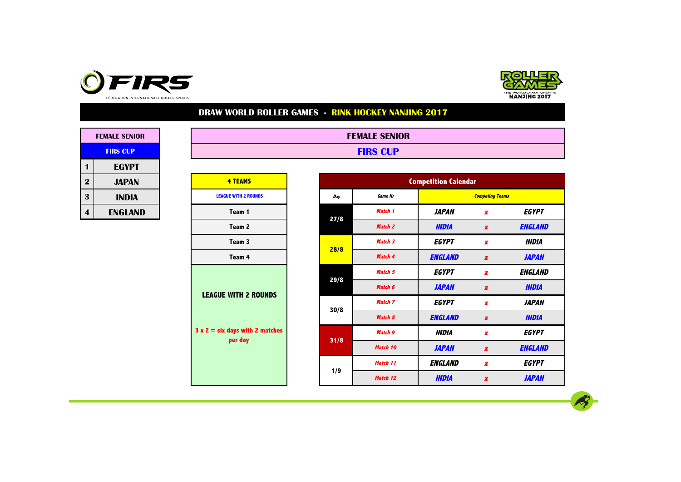



| <b>FEMALE SENIOR</b> |          |  |  |  |  |  |  |  |  |  |
|----------------------|----------|--|--|--|--|--|--|--|--|--|
| <b>FIRS CUP</b>      |          |  |  |  |  |  |  |  |  |  |
| 1                    | EGYPT    |  |  |  |  |  |  |  |  |  |
| $\mathbf 2$          | JAPAN    |  |  |  |  |  |  |  |  |  |
| 3                    | INDIA    |  |  |  |  |  |  |  |  |  |
|                      | FNGI AND |  |  |  |  |  |  |  |  |  |

| <b>FEMALE SENIOR</b> | <b>FEMALE SENIOR</b> |
|----------------------|----------------------|
| <b>FIRS CUP</b>      | <b>FIRS CUP</b>      |
| $- - - - - - -$      |                      |

| $\overline{\mathbf{2}}$ | <b>JAPAN</b>   | <b>4 TEAMS</b>                    |      |                |
|-------------------------|----------------|-----------------------------------|------|----------------|
| 3                       | <b>INDIA</b>   | <b>LEAGUE WITH 2 ROUNDS</b>       | Day  | <b>Game Nr</b> |
| 4                       | <b>ENGLAND</b> | Team 1                            |      | Match 1        |
|                         |                | Team 2                            | 27/8 | Match 2        |
|                         |                | Team 3                            |      | Match 3        |
|                         |                | Team 4                            | 28/8 | Match 4        |
|                         |                |                                   |      | Match 5        |
|                         |                | <b>LEAGUE WITH 2 ROUNDS</b>       | 29/8 | Match 6        |
|                         |                |                                   |      | Match 7        |
|                         |                |                                   | 30/8 | Match 8        |
|                         |                | $3 x 2 = six days with 2 matches$ |      | Match 9        |
|                         |                | per day                           | 31/8 | Match 10       |
|                         |                |                                   |      | Match 11       |
|                         |                |                                   | 1/9  | Match 12       |

| $\overline{\mathbf{2}}$ | <b>JAPAN</b>   | <b>4 TEAMS</b>                              |  |      |                | <b>Competition Calendar</b> |                        |                     |
|-------------------------|----------------|---------------------------------------------|--|------|----------------|-----------------------------|------------------------|---------------------|
| 3                       | <b>INDIA</b>   | <b>LEAGUE WITH 2 ROUNDS</b>                 |  | Day  | <b>Game Nr</b> |                             | <b>Competing Teams</b> |                     |
| $\overline{\mathbf{4}}$ | <b>ENGLAND</b> | Team 1                                      |  | 27/8 | Match 1        | <b>JAPAN</b>                | X                      | EGYPT               |
|                         |                | Team 2                                      |  |      | Match 2        | <b>INDIA</b>                | $\boldsymbol{x}$       | <b>ENGLAND</b>      |
|                         |                | Team 3                                      |  | 28/8 | Match 3        | <b>EGYPT</b>                | $\pmb{X}$              | <i><b>INDIA</b></i> |
|                         |                | Team 4                                      |  |      | Match 4        | <b>ENGLAND</b>              | $\boldsymbol{x}$       | <b>JAPAN</b>        |
|                         |                |                                             |  | 29/8 | Match 5        | <b>EGYPT</b>                | $\boldsymbol{x}$       | ENGLAND             |
|                         |                | <b>LEAGUE WITH 2 ROUNDS</b>                 |  |      | Match 6        | <b>JAPAN</b>                | $\boldsymbol{x}$       | <b>INDIA</b>        |
|                         |                |                                             |  |      | Match 7        | <b>EGYPT</b>                | $\pmb{X}$              | <b>JAPAN</b>        |
|                         |                |                                             |  | 30/8 | Match 8        | <b>ENGLAND</b>              | $\boldsymbol{x}$       | <b>INDIA</b>        |
|                         |                | $3x 2 = six days with 2 matches$<br>per day |  | 31/8 | Match 9        | <b>INDIA</b>                | $\boldsymbol{x}$       | <b>EGYPT</b>        |
|                         |                |                                             |  |      | Match 10       | <b>JAPAN</b>                | $\boldsymbol{x}$       | <b>ENGLAND</b>      |
|                         |                |                                             |  |      | Match 11       | <b>ENGLAND</b>              | X                      | <b>EGYPT</b>        |
|                         |                |                                             |  | 1/9  | Match 12       | <b>INDIA</b>                | $\pmb{X}$              | <b>JAPAN</b>        |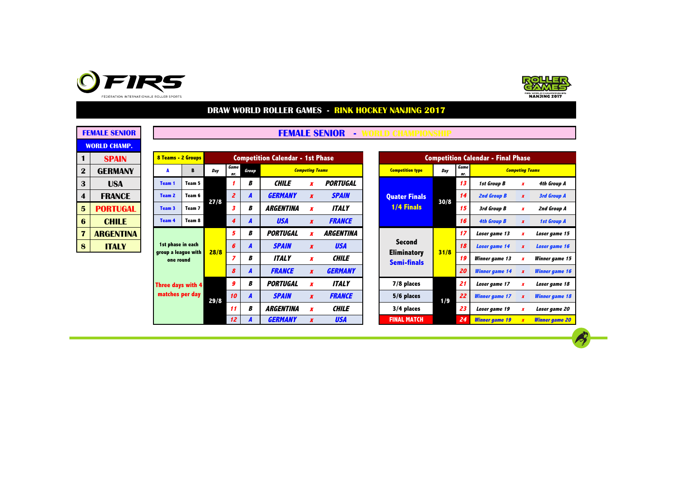



|                         | <b>FEMALE SENIOR</b> |  |  |  |  |  |  |  |  |  |  |
|-------------------------|----------------------|--|--|--|--|--|--|--|--|--|--|
| <b>WORLD CHAMP.</b>     |                      |  |  |  |  |  |  |  |  |  |  |
| 1                       | <b>SPAIN</b>         |  |  |  |  |  |  |  |  |  |  |
| $\mathbf 2$             | GFRMANY              |  |  |  |  |  |  |  |  |  |  |
| 3                       | USA                  |  |  |  |  |  |  |  |  |  |  |
| $\overline{\mathbf{4}}$ | <b>FRANCF</b>        |  |  |  |  |  |  |  |  |  |  |
| 5                       | PORTUGAL             |  |  |  |  |  |  |  |  |  |  |
| 6                       | <b>CHILE</b>         |  |  |  |  |  |  |  |  |  |  |
| 7                       | <b>ARGENTINA</b>     |  |  |  |  |  |  |  |  |  |  |
| g                       | ITAI Y               |  |  |  |  |  |  |  |  |  |  |

| <b>FEMALE SENIOR</b> |  | <b>FEMALE SENIOR</b> |  |  |
|----------------------|--|----------------------|--|--|
|----------------------|--|----------------------|--|--|

| 1.             | <b>SPAIN</b>     |                 | 8 Teams - 2 Groups |        |      | <b>Competition Calendar - 1st Phase</b> |                  |                             |                        |                |                    | <b>Competition Calendar - Final Phase</b> |                       |                       |                       |                        |                    |        |               |    |               |
|----------------|------------------|-----------------|--------------------|--------|------|-----------------------------------------|------------------|-----------------------------|------------------------|----------------|--------------------|-------------------------------------------|-----------------------|-----------------------|-----------------------|------------------------|--------------------|--------|---------------|----|---------------|
| $\overline{2}$ | <b>GERMANY</b>   |                 |                    | В      | Day  | Game<br>nr.                             | Group            |                             | <b>Competing Teams</b> |                |                    | <b>Competition type</b>                   | Day                   | Game<br>nr.           |                       | <b>Competing Teams</b> |                    |        |               |    |               |
| 3              | <b>USA</b>       |                 | Team 1             | Team 5 |      | В                                       | CHILE            |                             | <b>PORTUGAL</b>        |                |                    |                                           | 13                    | 1st Group B           |                       | 4th Group A            |                    |        |               |    |               |
| 4              | <b>FRANCE</b>    |                 | Team 2             | Team 6 | 27/8 | $\overline{z}$                          | A                | <b>GERMANY</b>              | $\boldsymbol{x}$       | <b>SPAIN</b>   |                    | <b>Quater Finals</b>                      | 30/8                  | 14                    | 2nd Group B           |                        | 3rd Group A        |        |               |    |               |
| 5              | <b>PORTUGAL</b>  |                 | Team <sub>3</sub>  | Team 7 |      | 3                                       | В                | <b>ARGENTINA</b>            |                        | <b>ITALY</b>   |                    | <b>1/4 Finals</b>                         |                       | 15                    | 3rd Group B           |                        | 2nd Group A        |        |               |    |               |
| 6              | <b>CHILE</b>     |                 | <b>Team 4</b>      | Team 8 |      | 4                                       | A                | <b>USA</b>                  | $\boldsymbol{x}$       | <b>FRANCE</b>  |                    |                                           |                       | 16                    | <b>4th Group B</b>    |                        | <b>1st Group A</b> |        |               |    |               |
|                | <b>ARGENTINA</b> |                 | 1st phase in each  |        |      |                                         |                  |                             |                        | 5              | В                  | <b>PORTUGAL</b>                           |                       | <b>ARGENTINA</b>      |                       |                        |                    | -17    | Loser game 13 |    | Loser game 15 |
| 8              | <b>ITALY</b>     |                 |                    |        |      |                                         |                  | 28/8<br>group a league with |                        |                |                    | $6\overline{6}$                           | A                     | <b>SPAIN</b>          | $\boldsymbol{x}$      | <b>USA</b>             |                    | Second | 31/8          | 18 | Loser game 14 |
|                |                  |                 | one round          |        |      |                                         | В                | <b>ITALY</b>                | x                      | <b>CHILE</b>   |                    | <b>Eliminatory</b><br><b>Semi-finals</b>  |                       | 19                    | Winner game 13        |                        | Winner game 1:     |        |               |    |               |
|                |                  |                 |                    |        |      | 8                                       | A                | <b>FRANCE</b>               | X                      | <b>GERMANY</b> |                    |                                           |                       | 20                    | <b>Winner game 14</b> |                        | Winner game 1      |        |               |    |               |
|                |                  |                 | Three days with 4  |        |      | 9                                       | В                | <b>PORTUGAL</b>             |                        | <b>ITALY</b>   |                    | 7/8 places                                |                       | 21                    | Loser game 17         |                        | Loser game 18      |        |               |    |               |
|                |                  | matches per day |                    | 29/8   | 10   | A                                       | <b>SPAIN</b>     | $\boldsymbol{x}$            | <b>FRANCE</b>          |                | 5/6 places<br>1/9  | 22                                        | <b>Winner</b> game 17 |                       | <b>Winner game 18</b> |                        |                    |        |               |    |               |
|                |                  |                 |                    |        | -11  | В                                       | <b>ARGENTINA</b> | x                           | <b>CHILE</b>           |                | 3/4 places         |                                           | 23                    | Loser game 19         |                       | Loser game 20          |                    |        |               |    |               |
|                |                  |                 |                    |        | 12   | A                                       | <b>GERMANY</b>   |                             | <b>USA</b>             |                | <b>FINAL MATCH</b> |                                           | 24                    | <b>Winner</b> game 19 |                       | <b>Winner game 20</b>  |                    |        |               |    |               |

|                  |       | <b>Competition Calendar - 1st Phase</b> |                        |                  | <b>Competition Calendar - Final Phase</b> |      |             |                       |                        |                       |  |  |  |
|------------------|-------|-----------------------------------------|------------------------|------------------|-------------------------------------------|------|-------------|-----------------------|------------------------|-----------------------|--|--|--|
| iame<br>nr.      | Group |                                         | <b>Competing Teams</b> |                  | <b>Competition type</b>                   | Day  | Game<br>nr. |                       | <b>Competing Teams</b> |                       |  |  |  |
| 1                | B     | <b>CHILE</b>                            | x                      | <b>PORTUGAL</b>  |                                           |      | 13          | 1st Group B           | x                      | 4th Group A           |  |  |  |
| $\overline{z}$   | A     | <b>GERMANY</b>                          | $\boldsymbol{x}$       | <b>SPAIN</b>     | <b>Quater Finals</b>                      | 30/8 | 14          | 2nd Group B           | $\boldsymbol{x}$       | 3rd Group A           |  |  |  |
| 3                | B     | <b>ARGENTINA</b>                        | $\boldsymbol{X}$       | <b>ITALY</b>     | 1/4 Finals                                |      | 15          | 3rd Group B           | x                      | 2nd Group A           |  |  |  |
| 4                | A     | <b>USA</b>                              | $\boldsymbol{x}$       | <b>FRANCE</b>    |                                           |      | 16          | <b>4th Group B</b>    | $\boldsymbol{x}$       | <b>1st Group A</b>    |  |  |  |
| 5                | B     | <b>PORTUGAL</b>                         | $\boldsymbol{x}$       | <b>ARGENTINA</b> |                                           |      | 17          | Loser game 13         | x                      | Loser game 15         |  |  |  |
| 6                | A     | <b>SPAIN</b>                            | $\boldsymbol{X}$       | <b>USA</b>       | <b>Second</b>                             |      | 18          | Loser game 14         | $\boldsymbol{x}$       | Loser game 16         |  |  |  |
| $\overline{z}$   | В     | <b>ITALY</b>                            | $\boldsymbol{x}$       | <b>CHILE</b>     | <b>Eliminatory</b><br><b>Semi-finals</b>  | 31/8 | 19          | Winner game 13        | x                      | Winner game 15        |  |  |  |
| $\boldsymbol{s}$ | A     | <b>FRANCE</b>                           | $\boldsymbol{x}$       | <b>GERMANY</b>   |                                           |      | 20          | <b>Winner</b> game 14 | $\boldsymbol{x}$       | <b>Winner</b> game 16 |  |  |  |
| $\boldsymbol{g}$ | B     | <b>PORTUGAL</b>                         | $\boldsymbol{X}$       | <b>ITALY</b>     | 7/8 places                                |      | 21          | Loser game 17         | x                      | Loser game 18         |  |  |  |
| 10               | A     | <b>SPAIN</b>                            | $\boldsymbol{x}$       | <b>FRANCE</b>    | 5/6 places                                | 1/9  | 22          | <b>Winner game 17</b> | $\boldsymbol{x}$       | <b>Winner</b> game 18 |  |  |  |
| 11               | B     | <b>ARGENTINA</b>                        | $\boldsymbol{X}$       | <b>CHILE</b>     | 3/4 places                                |      | 23          | Loser game 19         | x                      | Loser game 20         |  |  |  |
| 12 <sup>2</sup>  | A     | <b>GERMANY</b>                          | $\boldsymbol{X}$       | <b>USA</b>       | <b>FINAL MATCH</b>                        |      | 24          | <b>Winner game 19</b> | $\boldsymbol{x}$       | <b>Winner game 20</b> |  |  |  |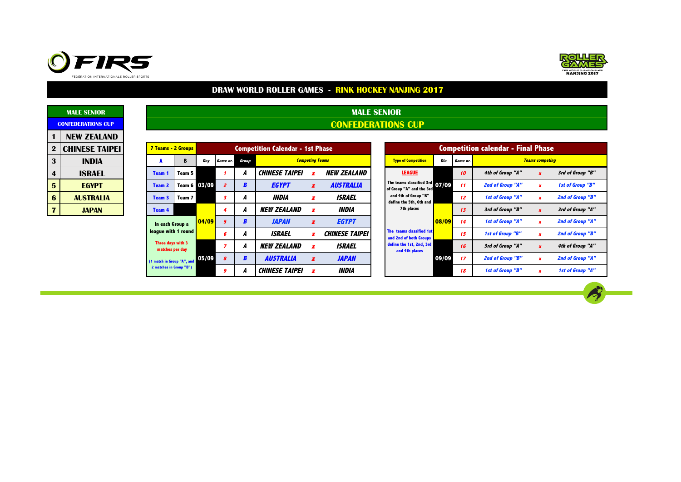



**CONFEDERATIONS CUP MALE SENIOR** 

|                         | <b>MALE SENIOR</b>        |  |  |  |  |  |  |  |  |  |  |  |
|-------------------------|---------------------------|--|--|--|--|--|--|--|--|--|--|--|
|                         | <b>CONFEDERATIONS CUP</b> |  |  |  |  |  |  |  |  |  |  |  |
| 1                       | NFW 7FAI AND              |  |  |  |  |  |  |  |  |  |  |  |
| $\mathbf 2$             | <b>CHINESE TAIPEI</b>     |  |  |  |  |  |  |  |  |  |  |  |
| 3                       | INDIA                     |  |  |  |  |  |  |  |  |  |  |  |
| $\overline{\mathbf{4}}$ | ISRAEL                    |  |  |  |  |  |  |  |  |  |  |  |
| 5                       | <b>FGYPT</b>              |  |  |  |  |  |  |  |  |  |  |  |
| 6                       | <b>AUSTRALIA</b>          |  |  |  |  |  |  |  |  |  |  |  |
|                         | <b>JAPAN</b>              |  |  |  |  |  |  |  |  |  |  |  |

|                | NEW ZEALAND           |  |                                             |              |                |                |                  |                                                                                                                                                                                                                                                                                                                                                                                                                                                                                                                           |                  |                    |                            |                                        |          |                  |                  |  |  |  |
|----------------|-----------------------|--|---------------------------------------------|--------------|----------------|----------------|------------------|---------------------------------------------------------------------------------------------------------------------------------------------------------------------------------------------------------------------------------------------------------------------------------------------------------------------------------------------------------------------------------------------------------------------------------------------------------------------------------------------------------------------------|------------------|--------------------|----------------------------|----------------------------------------|----------|------------------|------------------|--|--|--|
| $\bf{2}$       | <b>CHINESE TAIPEI</b> |  | 7 Teams - 2 Groups                          |              |                |                |                  |                                                                                                                                                                                                                                                                                                                                                                                                                                                                                                                           |                  |                    |                            | <b>Competition calendar - Final Ph</b> |          |                  |                  |  |  |  |
| 3              | <b>INDIA</b>          |  | A                                           | B            | Day            | Game nr.       | Group            |                                                                                                                                                                                                                                                                                                                                                                                                                                                                                                                           |                  |                    | <b>Type of Competition</b> | Dia                                    | Game nr. |                  | <b>Teams</b> co. |  |  |  |
| 4              | <b>ISRAEL</b>         |  | <b>Team 1</b>                               | Team 5       |                |                | А                | <b>CHINESE TAIPEI</b>                                                                                                                                                                                                                                                                                                                                                                                                                                                                                                     |                  | <b>NEW ZEALAND</b> | <b>LEAGUE</b>              |                                        | 10       | 4th of Group "A" |                  |  |  |  |
| 5              | <b>EGYPT</b>          |  | Team 2                                      | Team 6 03/09 |                | $\overline{z}$ | B                | <b>EGYPT</b>                                                                                                                                                                                                                                                                                                                                                                                                                                                                                                              | $\boldsymbol{x}$ | <b>AUSTRALIA</b>   |                            |                                        | 11       | 2nd of Group "A" |                  |  |  |  |
| 6              | <b>AUSTRALIA</b>      |  | Team 3                                      | Team 7       |                | 3              | A                | INDIA                                                                                                                                                                                                                                                                                                                                                                                                                                                                                                                     | x                | <b>ISRAEL</b>      | and 4th of Group "B"       |                                        | 12       | 1st of Group "A" |                  |  |  |  |
| $\overline{7}$ | <b>JAPAN</b>          |  | Team 4                                      |              |                | 4              | A                | <b>Competition Calendar - 1st Phase</b><br><b>Competing Teams</b><br>The teams classified $3rd$ 07/09<br>of Group "A" and the 3rd<br>define the 5th, 6th and<br>7th places<br><b>NEW ZEALAND</b><br>INDIA<br>x<br><b>JAPAN</b><br>08/09<br><b>EGYPT</b><br>x<br>The teams classified 1st<br><b>ISRAEL</b><br><b>CHINESE TAIPEI</b><br>and 2nd of both Groups<br>define the 1st, 2nd, 3rd<br><b>NEW ZEALAND</b><br><i><b>ISRAEL</b></i><br>and 4th places<br><b>AUSTRALIA</b><br><b>JAPAN</b><br>09/09<br>$\boldsymbol{x}$ | 13               | 3rd of Group "B"   |                            |                                        |          |                  |                  |  |  |  |
|                |                       |  | In each Group a<br>league with 1 round      |              | $\sqrt{04/09}$ | 5 <sup>5</sup> | B                |                                                                                                                                                                                                                                                                                                                                                                                                                                                                                                                           |                  |                    |                            |                                        | 14       | 1st of Group "A" |                  |  |  |  |
|                |                       |  |                                             |              |                | 6              | A                |                                                                                                                                                                                                                                                                                                                                                                                                                                                                                                                           |                  |                    |                            |                                        | 15       | 1st of Group "B" |                  |  |  |  |
|                |                       |  | Three days with 3<br>matches per day        |              |                | $\overline{z}$ | A                |                                                                                                                                                                                                                                                                                                                                                                                                                                                                                                                           |                  |                    |                            |                                        | 16       | 3rd of Group "A" |                  |  |  |  |
|                |                       |  | <sup>(1</sup> match in Group "A", and 05/09 |              |                | 8              | $\boldsymbol{B}$ |                                                                                                                                                                                                                                                                                                                                                                                                                                                                                                                           |                  |                    |                            |                                        | 17       | 2nd of Group "B" |                  |  |  |  |
|                |                       |  | 2 matches in Group "B")                     |              |                | 9              |                  | <b>CHINESE TAIPEI</b>                                                                                                                                                                                                                                                                                                                                                                                                                                                                                                     |                  | <b>INDIA</b>       |                            |                                        | 18       | 1st of Group "B" |                  |  |  |  |

|                |              | <b>Competition Calendar - 1st Phase</b> |                        |                       |                                                            |       |          | <b>Competition calendar - Final Phase</b> |                        |                  |
|----------------|--------------|-----------------------------------------|------------------------|-----------------------|------------------------------------------------------------|-------|----------|-------------------------------------------|------------------------|------------------|
| ie nr.         | <b>Group</b> |                                         | <b>Competing Teams</b> |                       | <b>Type of Competition</b>                                 | Dia   | Game nr. |                                           | <b>Teams competing</b> |                  |
|                | A            | <b>CHINESE TAIPEI</b>                   |                        | <b>NEW ZEALAND</b>    | <b>LEAGUE</b>                                              |       | 10       | 4th of Group "A"                          | $\boldsymbol{x}$       | 3rd of Group "B" |
| $\overline{z}$ | B            | <b>EGYPT</b>                            | $\boldsymbol{x}$       | <b>AUSTRALIA</b>      | The teams classified 3rd 07/09<br>of Group "A" and the 3rd |       | 11       | 2nd of Group "A"                          | $\boldsymbol{x}$       | 1st of Group "B" |
| 3              | Α            | <b>INDIA</b>                            | x                      | <b>ISRAEL</b>         | and 4th of Group "B"<br>define the 5th, 6th and            |       | 12       | 1st of Group "A"                          | $\boldsymbol{x}$       | 2nd of Group "B" |
| 4              | A            | <b>NEW ZEALAND</b>                      |                        | <b>INDIA</b>          | 7th places                                                 |       | 13       | 3rd of Group "B"                          | $\mathbf{r}$           | 3rd of Group "A" |
| 5              | B            | <b>JAPAN</b>                            | $\boldsymbol{x}$       | <b>EGYPT</b>          |                                                            | 08/09 | 14       | 1st of Group "A"                          | $\boldsymbol{x}$       | 2nd of Group "A" |
| 6              | A            | <b>ISRAEL</b>                           | x                      | <b>CHINESE TAIPEI</b> | The teams classified 1st<br>and 2nd of both Groups         |       | 15       | 1st of Group "B"                          | x                      | 2nd of Group "B" |
| 7              | A            | <b>NEW ZEALAND</b>                      |                        | <b>ISRAEL</b>         | define the 1st, 2nd, 3rd<br>and 4th places                 |       | 16       | 3rd of Group "A"                          | $\boldsymbol{x}$       | 4th of Group "A" |
| 8              | B            | <b>AUSTRALIA</b>                        | $\boldsymbol{x}$       | <b>JAPAN</b>          |                                                            | 09/09 | 17       | 2nd of Group "B"                          | $\boldsymbol{x}$       | 2nd of Group "A" |
| 9              | A            | <b>CHINESE TAIPEI</b>                   | x                      | <b>INDIA</b>          |                                                            |       | 18       | 1st of Group "B"                          | $\boldsymbol{x}$       | 1st of Group "A" |

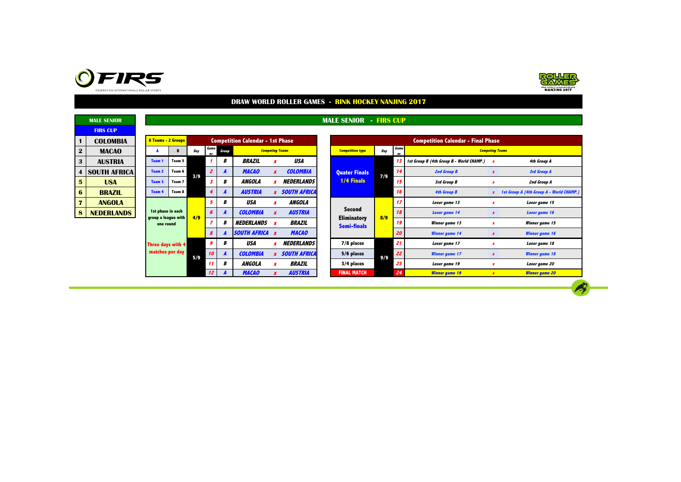



 $\rightarrow$ 

|                         | <b>MALE SENIOR</b>  |                                          |        |     |                |                  |                                         |                  |                        | <b>MALE SENIOR</b>                       | - FIRS CUP |                 |                                               |                                          |
|-------------------------|---------------------|------------------------------------------|--------|-----|----------------|------------------|-----------------------------------------|------------------|------------------------|------------------------------------------|------------|-----------------|-----------------------------------------------|------------------------------------------|
|                         | <b>FIRS CUP</b>     |                                          |        |     |                |                  |                                         |                  |                        |                                          |            |                 |                                               |                                          |
|                         | <b>COLOMBIA</b>     | 8 Teams - 2 Groups                       |        |     |                |                  | <b>Competition Calendar - 1st Phase</b> |                  |                        |                                          |            |                 | <b>Competition Calendar - Final Phase</b>     |                                          |
| $\mathbf{2}$            | <b>MACAO</b>        |                                          | в      | Day | Game<br>nr.    | Group            |                                         |                  | <b>Competing Teams</b> | <b>Competition type</b>                  | Day        | Game<br>nr.     |                                               | <b>Competing Teams</b>                   |
| 3                       | <b>AUSTRIA</b>      | Team 1                                   | Team 5 |     |                | В                | <b>BRAZIL</b>                           |                  | USA                    |                                          |            |                 | 13 1st Group B (4th Group B - World CHAMP.) X | 4th Group A                              |
| 4                       | <b>SOUTH AFRICA</b> | Team 2                                   | Team 6 | 3/9 | $\overline{z}$ |                  | <b>MACAO</b>                            | $\boldsymbol{x}$ | <b>COLOMBIA</b>        | <b>Quater Finals</b>                     | 7/9        | 14              | <b>2nd Group B</b>                            | 3rd Group A                              |
| $5\overline{5}$         | <b>USA</b>          | Team 3                                   | Team 7 |     | -3             | В                | <b>ANGOLA</b>                           |                  | <b>NEDERLANDS</b>      | <b>1/4 Finals</b>                        |            | 15              | 3rd Group B                                   | 2nd Group A                              |
| 6                       | <b>BRAZIL</b>       | Team 4                                   | Team 8 |     | $\overline{4}$ |                  | <b>AUSTRIA</b>                          |                  | <b>x</b> SOUTH AFRICA  |                                          |            | 16              | <b>4th Group B</b>                            | 1st Group A (4th Group A - World CHAMP.) |
| $\overline{7}$          | <b>ANGOLA</b>       |                                          |        |     | 5              | В                | <b>USA</b>                              |                  | ANGOLA                 |                                          |            | 17 <sup>2</sup> | Loser game 13                                 | Loser game 15                            |
| $\overline{\mathbf{8}}$ | <b>NEDERLANDS</b>   | 1st phase in each<br>group a league with |        | 4/9 | 6              | A                | <b>COLOMBIA</b>                         |                  | <b>AUSTRIA</b>         | Second                                   | 8/9        | 18              | <b>Loser game 14</b>                          | Loser game 16                            |
|                         |                     | one round                                |        |     | -7             | В                | <i><b>NEDERLANDS</b></i>                |                  | <i><b>BRAZIL</b></i>   | <b>Eliminatory</b><br><b>Semi-finals</b> |            | 19              | Winner game 13                                | Winner game 15                           |
|                         |                     |                                          |        |     | 8              |                  | <b>SOUTH AFRICA X</b>                   |                  | <b>MACAO</b>           |                                          |            | 20              | <b>Winner game 14</b>                         | <b>Winner</b> game 16                    |
|                         |                     | <b>Three days with 4</b>                 |        |     | 9              | В                | USA                                     |                  | <b>NEDERLANDS</b>      | 7/8 places                               |            | 21              | Loser game 17                                 | Loser game 18                            |
|                         |                     | matches per day                          |        | 5/9 | 10             | $\boldsymbol{A}$ | <b>COLOMBIA</b>                         |                  | <b>x</b> SOUTH AFRICA  | 5/6 places                               | 9/9        | 22              | <b>Winner game 17</b>                         | <b>Winner game 18</b>                    |
|                         |                     |                                          |        |     |                | В                | <b>ANGOLA</b>                           |                  | <b>BRAZIL</b>          | 3/4 places                               |            | 23              | Loser game 19                                 | Loser game 20                            |
|                         |                     |                                          |        |     | 12             |                  | <b>MACAO</b>                            |                  | <b>AUSTRIA</b>         | <b>FINAL MATCH</b>                       |            | 24              | <b>Winner</b> game 19                         | <b>Winner game 20</b>                    |